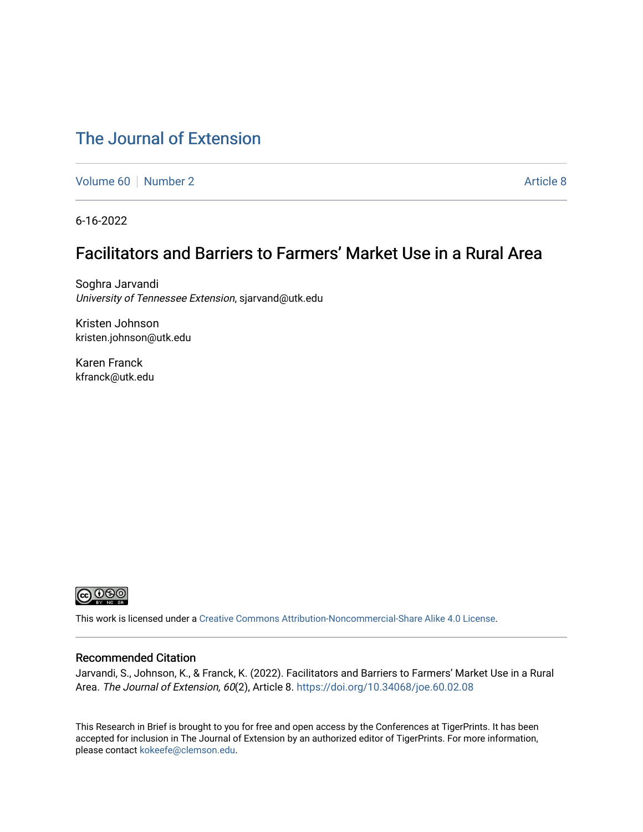# [The Journal of Extension](https://tigerprints.clemson.edu/joe)

[Volume 60](https://tigerprints.clemson.edu/joe/vol60) [Number 2](https://tigerprints.clemson.edu/joe/vol60/iss2) [Article 8](https://tigerprints.clemson.edu/joe/vol60/iss2/8) Article 8

6-16-2022

## Facilitators and Barriers to Farmers' Market Use in a Rural Area

Soghra Jarvandi University of Tennessee Extension, sjarvand@utk.edu

Kristen Johnson kristen.johnson@utk.edu

Karen Franck kfranck@utk.edu



This work is licensed under a [Creative Commons Attribution-Noncommercial-Share Alike 4.0 License.](https://creativecommons.org/licenses/by-nc-sa/4.0/)

### Recommended Citation

Jarvandi, S., Johnson, K., & Franck, K. (2022). Facilitators and Barriers to Farmers' Market Use in a Rural Area. The Journal of Extension, 60(2), Article 8. <https://doi.org/10.34068/joe.60.02.08>

This Research in Brief is brought to you for free and open access by the Conferences at TigerPrints. It has been accepted for inclusion in The Journal of Extension by an authorized editor of TigerPrints. For more information, please contact [kokeefe@clemson.edu](mailto:kokeefe@clemson.edu).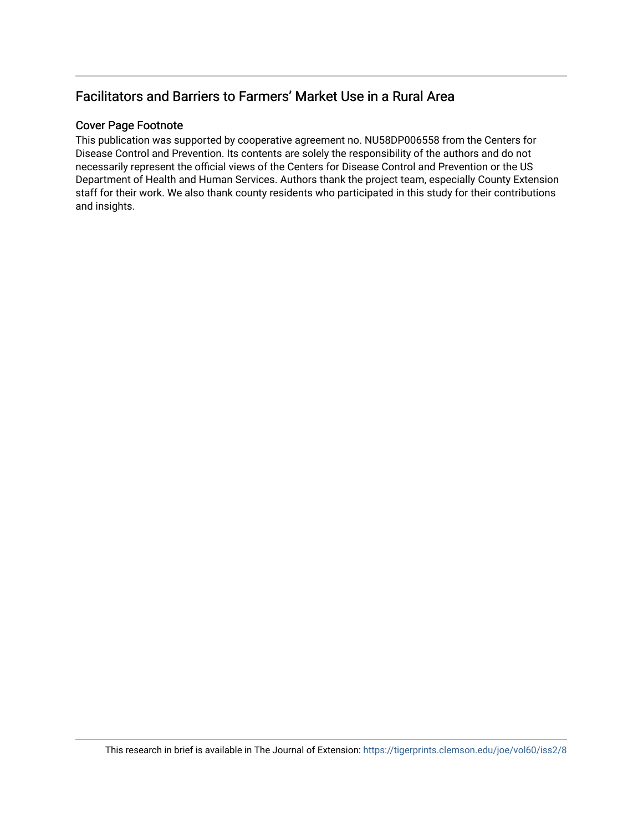## Facilitators and Barriers to Farmers' Market Use in a Rural Area

## Cover Page Footnote

This publication was supported by cooperative agreement no. NU58DP006558 from the Centers for Disease Control and Prevention. Its contents are solely the responsibility of the authors and do not necessarily represent the official views of the Centers for Disease Control and Prevention or the US Department of Health and Human Services. Authors thank the project team, especially County Extension staff for their work. We also thank county residents who participated in this study for their contributions and insights.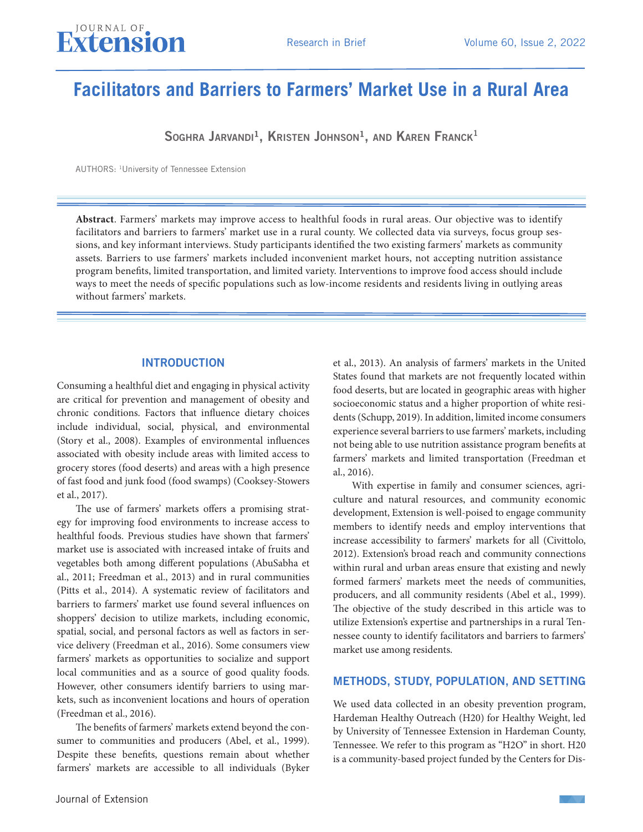

# **Facilitators and Barriers to Farmers' Market Use in a Rural Area**

Soghra Jarvandi<sup>1</sup>, Kristen Johnson<sup>1</sup>, and Karen Franck<sup>1</sup>

AUTHORS: 1University of Tennessee Extension

**Abstract**. Farmers' markets may improve access to healthful foods in rural areas. Our objective was to identify facilitators and barriers to farmers' market use in a rural county. We collected data via surveys, focus group sessions, and key informant interviews. Study participants identified the two existing farmers' markets as community assets. Barriers to use farmers' markets included inconvenient market hours, not accepting nutrition assistance program benefits, limited transportation, and limited variety. Interventions to improve food access should include ways to meet the needs of specific populations such as low-income residents and residents living in outlying areas without farmers' markets.

#### **INTRODUCTION**

Consuming a healthful diet and engaging in physical activity are critical for prevention and management of obesity and chronic conditions. Factors that influence dietary choices include individual, social, physical, and environmental (Story et al., 2008). Examples of environmental influences associated with obesity include areas with limited access to grocery stores (food deserts) and areas with a high presence of fast food and junk food (food swamps) (Cooksey-Stowers et al., 2017).

The use of farmers' markets offers a promising strategy for improving food environments to increase access to healthful foods. Previous studies have shown that farmers' market use is associated with increased intake of fruits and vegetables both among different populations (AbuSabha et al., 2011; Freedman et al., 2013) and in rural communities (Pitts et al., 2014). A systematic review of facilitators and barriers to farmers' market use found several influences on shoppers' decision to utilize markets, including economic, spatial, social, and personal factors as well as factors in service delivery (Freedman et al., 2016). Some consumers view farmers' markets as opportunities to socialize and support local communities and as a source of good quality foods. However, other consumers identify barriers to using markets, such as inconvenient locations and hours of operation (Freedman et al., 2016).

The benefits of farmers' markets extend beyond the consumer to communities and producers (Abel, et al., 1999). Despite these benefits, questions remain about whether farmers' markets are accessible to all individuals (Byker

et al., 2013). An analysis of farmers' markets in the United States found that markets are not frequently located within food deserts, but are located in geographic areas with higher socioeconomic status and a higher proportion of white residents (Schupp, 2019). In addition, limited income consumers experience several barriers to use farmers' markets, including not being able to use nutrition assistance program benefits at farmers' markets and limited transportation (Freedman et al., 2016).

With expertise in family and consumer sciences, agriculture and natural resources, and community economic development, Extension is well-poised to engage community members to identify needs and employ interventions that increase accessibility to farmers' markets for all (Civittolo, 2012). Extension's broad reach and community connections within rural and urban areas ensure that existing and newly formed farmers' markets meet the needs of communities, producers, and all community residents (Abel et al., 1999). The objective of the study described in this article was to utilize Extension's expertise and partnerships in a rural Tennessee county to identify facilitators and barriers to farmers' market use among residents.

## METHODS, STUDY, POPULATION, AND SETTING

We used data collected in an obesity prevention program, Hardeman Healthy Outreach (H20) for Healthy Weight, led by University of Tennessee Extension in Hardeman County, Tennessee. We refer to this program as "H2O" in short. H20 is a community-based project funded by the Centers for Dis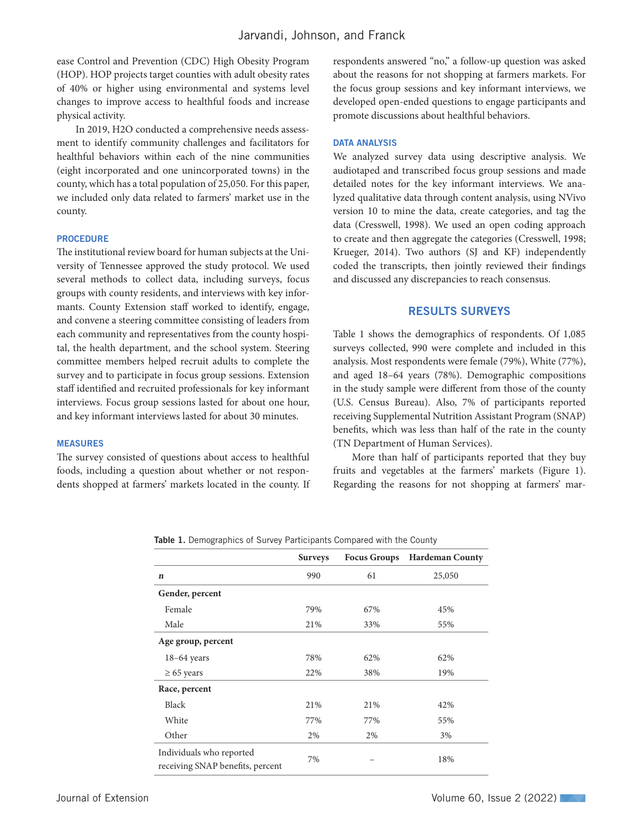ease Control and Prevention (CDC) High Obesity Program (HOP). HOP projects target counties with adult obesity rates of 40% or higher using environmental and systems level changes to improve access to healthful foods and increase physical activity.

In 2019, H2O conducted a comprehensive needs assessment to identify community challenges and facilitators for healthful behaviors within each of the nine communities (eight incorporated and one unincorporated towns) in the county, which has a total population of 25,050. For this paper, we included only data related to farmers' market use in the county.

#### **PROCEDURE**

The institutional review board for human subjects at the University of Tennessee approved the study protocol. We used several methods to collect data, including surveys, focus groups with county residents, and interviews with key informants. County Extension staff worked to identify, engage, and convene a steering committee consisting of leaders from each community and representatives from the county hospital, the health department, and the school system. Steering committee members helped recruit adults to complete the survey and to participate in focus group sessions. Extension staff identified and recruited professionals for key informant interviews. Focus group sessions lasted for about one hour, and key informant interviews lasted for about 30 minutes.

#### MEASURES

The survey consisted of questions about access to healthful foods, including a question about whether or not respondents shopped at farmers' markets located in the county. If respondents answered "no," a follow-up question was asked about the reasons for not shopping at farmers markets. For the focus group sessions and key informant interviews, we developed open-ended questions to engage participants and promote discussions about healthful behaviors.

#### DATA ANALYSIS

We analyzed survey data using descriptive analysis. We audiotaped and transcribed focus group sessions and made detailed notes for the key informant interviews. We analyzed qualitative data through content analysis, using NVivo version 10 to mine the data, create categories, and tag the data (Cresswell, 1998). We used an open coding approach to create and then aggregate the categories (Cresswell, 1998; Krueger, 2014). Two authors (SJ and KF) independently coded the transcripts, then jointly reviewed their findings and discussed any discrepancies to reach consensus.

#### RESULTS SURVEYS

Table 1 shows the demographics of respondents. Of 1,085 surveys collected, 990 were complete and included in this analysis. Most respondents were female (79%), White (77%), and aged 18–64 years (78%). Demographic compositions in the study sample were different from those of the county (U.S. Census Bureau). Also, 7% of participants reported receiving Supplemental Nutrition Assistant Program (SNAP) benefits, which was less than half of the rate in the county (TN Department of Human Services).

More than half of participants reported that they buy fruits and vegetables at the farmers' markets (Figure 1). Regarding the reasons for not shopping at farmers' mar-

Table 1. Demographics of Survey Participants Compared with the County

|                                                              | <b>Surveys</b> | <b>Focus Groups</b> | <b>Hardeman County</b> |
|--------------------------------------------------------------|----------------|---------------------|------------------------|
| $\mathbf n$                                                  | 990            | 61                  | 25,050                 |
| Gender, percent                                              |                |                     |                        |
| Female                                                       | 79%            | 67%                 | 45%                    |
| Male                                                         | 21%            | 33%                 | 55%                    |
| Age group, percent                                           |                |                     |                        |
| $18-64$ years                                                | 78%            | 62%                 | 62%                    |
| $\geq 65$ years                                              | 22%            | 38%                 | 19%                    |
| Race, percent                                                |                |                     |                        |
| Black                                                        | 21%            | 21%                 | 42%                    |
| White                                                        | 77%            | 77%                 | 55%                    |
| Other                                                        | 2%             | 2%                  | 3%                     |
| Individuals who reported<br>receiving SNAP benefits, percent | 7%             |                     | 18%                    |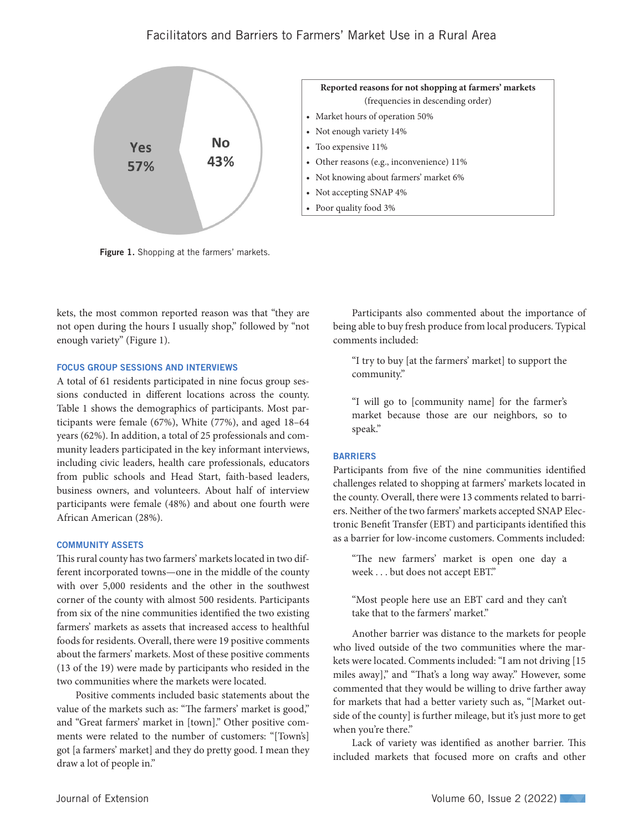## Facilitators and Barriers to Farmers' Market Use in a Rural Area



Figure 1. Shopping at the farmers' markets.

kets, the most common reported reason was that "they are not open during the hours I usually shop," followed by "not enough variety" (Figure 1).

### FOCUS GROUP SESSIONS AND INTERVIEWS

A total of 61 residents participated in nine focus group sessions conducted in different locations across the county. Table 1 shows the demographics of participants. Most participants were female (67%), White (77%), and aged 18–64 years (62%). In addition, a total of 25 professionals and community leaders participated in the key informant interviews, including civic leaders, health care professionals, educators from public schools and Head Start, faith-based leaders, business owners, and volunteers. About half of interview participants were female (48%) and about one fourth were African American (28%).

#### COMMUNITY ASSETS

This rural county has two farmers' markets located in two different incorporated towns—one in the middle of the county with over 5,000 residents and the other in the southwest corner of the county with almost 500 residents. Participants from six of the nine communities identified the two existing farmers' markets as assets that increased access to healthful foods for residents. Overall, there were 19 positive comments about the farmers' markets. Most of these positive comments (13 of the 19) were made by participants who resided in the two communities where the markets were located.

Positive comments included basic statements about the value of the markets such as: "The farmers' market is good," and "Great farmers' market in [town]." Other positive comments were related to the number of customers: "[Town's] got [a farmers' market] and they do pretty good. I mean they draw a lot of people in."

Participants also commented about the importance of being able to buy fresh produce from local producers. Typical comments included:

"I try to buy [at the farmers' market] to support the community."

"I will go to [community name] for the farmer's market because those are our neighbors, so to speak."

#### **BARRIERS**

Participants from five of the nine communities identified challenges related to shopping at farmers' markets located in the county. Overall, there were 13 comments related to barriers. Neither of the two farmers' markets accepted SNAP Electronic Benefit Transfer (EBT) and participants identified this as a barrier for low-income customers. Comments included:

"The new farmers' market is open one day a week . . . but does not accept EBT."

"Most people here use an EBT card and they can't take that to the farmers' market."

Another barrier was distance to the markets for people who lived outside of the two communities where the markets were located. Comments included: "I am not driving [15 miles away]," and "That's a long way away." However, some commented that they would be willing to drive farther away for markets that had a better variety such as, "[Market outside of the county] is further mileage, but it's just more to get when you're there."

Lack of variety was identified as another barrier. This included markets that focused more on crafts and other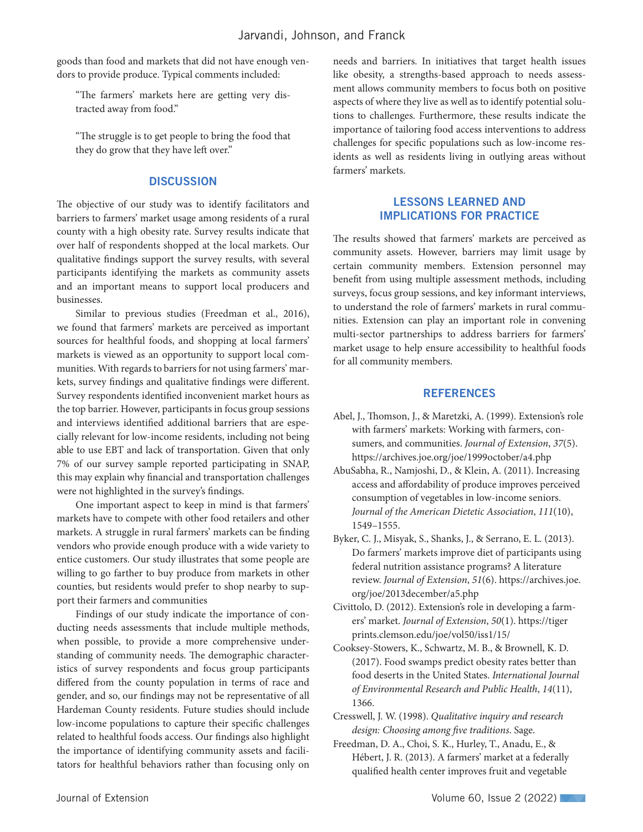goods than food and markets that did not have enough vendors to provide produce. Typical comments included:

"The farmers' markets here are getting very distracted away from food."

"The struggle is to get people to bring the food that they do grow that they have left over."

### **DISCUSSION**

The objective of our study was to identify facilitators and barriers to farmers' market usage among residents of a rural county with a high obesity rate. Survey results indicate that over half of respondents shopped at the local markets. Our qualitative findings support the survey results, with several participants identifying the markets as community assets and an important means to support local producers and businesses.

Similar to previous studies (Freedman et al., 2016), we found that farmers' markets are perceived as important sources for healthful foods, and shopping at local farmers' markets is viewed as an opportunity to support local communities. With regards to barriers for not using farmers' markets, survey findings and qualitative findings were different. Survey respondents identified inconvenient market hours as the top barrier. However, participants in focus group sessions and interviews identified additional barriers that are especially relevant for low-income residents, including not being able to use EBT and lack of transportation. Given that only 7% of our survey sample reported participating in SNAP, this may explain why financial and transportation challenges were not highlighted in the survey's findings.

One important aspect to keep in mind is that farmers' markets have to compete with other food retailers and other markets. A struggle in rural farmers' markets can be finding vendors who provide enough produce with a wide variety to entice customers. Our study illustrates that some people are willing to go farther to buy produce from markets in other counties, but residents would prefer to shop nearby to support their farmers and communities

Findings of our study indicate the importance of conducting needs assessments that include multiple methods, when possible, to provide a more comprehensive understanding of community needs. The demographic characteristics of survey respondents and focus group participants differed from the county population in terms of race and gender, and so, our findings may not be representative of all Hardeman County residents. Future studies should include low-income populations to capture their specific challenges related to healthful foods access. Our findings also highlight the importance of identifying community assets and facilitators for healthful behaviors rather than focusing only on needs and barriers. In initiatives that target health issues like obesity, a strengths-based approach to needs assessment allows community members to focus both on positive aspects of where they live as well as to identify potential solutions to challenges. Furthermore, these results indicate the importance of tailoring food access interventions to address challenges for specific populations such as low-income residents as well as residents living in outlying areas without farmers' markets.

## LESSONS LEARNED AND IMPLICATIONS FOR PRACTICE

The results showed that farmers' markets are perceived as community assets. However, barriers may limit usage by certain community members. Extension personnel may benefit from using multiple assessment methods, including surveys, focus group sessions, and key informant interviews, to understand the role of farmers' markets in rural communities. Extension can play an important role in convening multi-sector partnerships to address barriers for farmers' market usage to help ensure accessibility to healthful foods for all community members.

## **REFERENCES**

- Abel, J., Thomson, J., & Maretzki, A. (1999). Extension's role with farmers' markets: Working with farmers, consumers, and communities. *Journal of Extension*, *37*(5). https://archives.joe.org/joe/1999october/a4.php
- AbuSabha, R., Namjoshi, D., & Klein, A. (2011). Increasing access and affordability of produce improves perceived consumption of vegetables in low-income seniors. *Journal of the American Dietetic Association*, *111*(10), 1549–1555.
- Byker, C. J., Misyak, S., Shanks, J., & Serrano, E. L. (2013). Do farmers' markets improve diet of participants using federal nutrition assistance programs? A literature review. *Journal of Extension*, *51*(6). https://archives.joe. org/joe/2013december/a5.php
- Civittolo, D. (2012). Extension's role in developing a farmers' market. *Journal of Extension*, *50*(1). https://tiger prints.clemson.edu/joe/vol50/iss1/15/
- Cooksey-Stowers, K., Schwartz, M. B., & Brownell, K. D. (2017). Food swamps predict obesity rates better than food deserts in the United States. *International Journal of Environmental Research and Public Health*, *14*(11), 1366.
- Cresswell, J. W. (1998). *Qualitative inquiry and research design: Choosing among five traditions*. Sage.
- Freedman, D. A., Choi, S. K., Hurley, T., Anadu, E., & Hébert, J. R. (2013). A farmers' market at a federally qualified health center improves fruit and vegetable